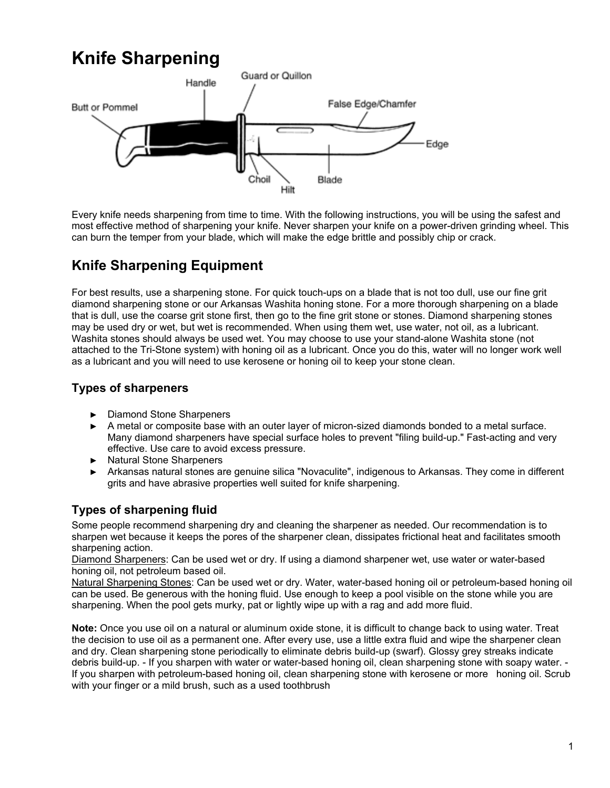# **Knife Sharpening**



Every knife needs sharpening from time to time. With the following instructions, you will be using the safest and most effective method of sharpening your knife. Never sharpen your knife on a power-driven grinding wheel. This can burn the temper from your blade, which will make the edge brittle and possibly chip or crack.

# **Knife Sharpening Equipment**

For best results, use a sharpening stone. For quick touch-ups on a blade that is not too dull, use our fine grit diamond sharpening stone or our Arkansas Washita honing stone. For a more thorough sharpening on a blade that is dull, use the coarse grit stone first, then go to the fine grit stone or stones. Diamond sharpening stones may be used dry or wet, but wet is recommended. When using them wet, use water, not oil, as a lubricant. Washita stones should always be used wet. You may choose to use your stand-alone Washita stone (not attached to the Tri-Stone system) with honing oil as a lubricant. Once you do this, water will no longer work well as a lubricant and you will need to use kerosene or honing oil to keep your stone clean.

### **Types of sharpeners**

- ► Diamond Stone Sharpeners
- ► A metal or composite base with an outer layer of micron-sized diamonds bonded to a metal surface. Many diamond sharpeners have special surface holes to prevent "filing build-up." Fast-acting and very effective. Use care to avoid excess pressure.
- ► Natural Stone Sharpeners
- ► Arkansas natural stones are genuine silica "Novaculite", indigenous to Arkansas. They come in different grits and have abrasive properties well suited for knife sharpening.

### **Types of sharpening fluid**

Some people recommend sharpening dry and cleaning the sharpener as needed. Our recommendation is to sharpen wet because it keeps the pores of the sharpener clean, dissipates frictional heat and facilitates smooth sharpening action.

Diamond Sharpeners: Can be used wet or dry. If using a diamond sharpener wet, use water or water-based honing oil, not petroleum based oil.

Natural Sharpening Stones: Can be used wet or dry. Water, water-based honing oil or petroleum-based honing oil can be used. Be generous with the honing fluid. Use enough to keep a pool visible on the stone while you are sharpening. When the pool gets murky, pat or lightly wipe up with a rag and add more fluid.

**Note:** Once you use oil on a natural or aluminum oxide stone, it is difficult to change back to using water. Treat the decision to use oil as a permanent one. After every use, use a little extra fluid and wipe the sharpener clean and dry. Clean sharpening stone periodically to eliminate debris build-up (swarf). Glossy grey streaks indicate debris build-up. - If you sharpen with water or water-based honing oil, clean sharpening stone with soapy water. - If you sharpen with petroleum-based honing oil, clean sharpening stone with kerosene or more honing oil. Scrub with your finger or a mild brush, such as a used toothbrush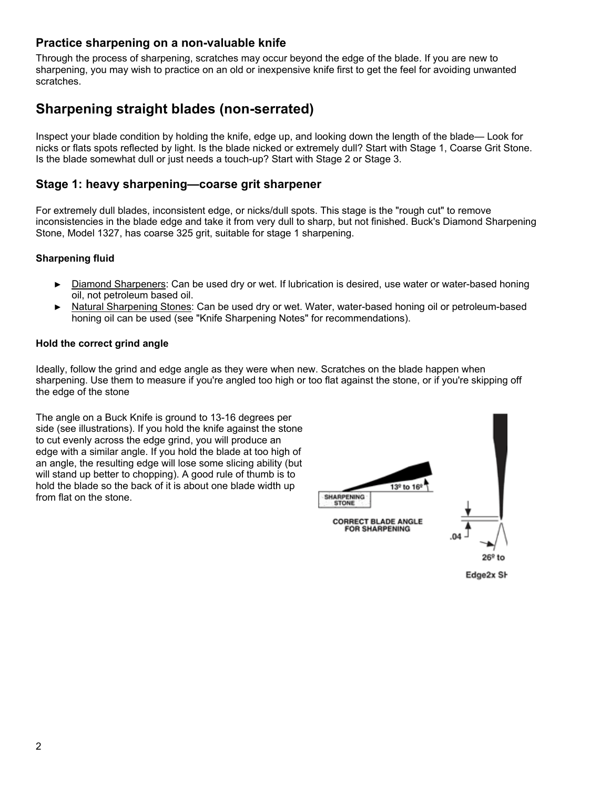#### **Practice sharpening on a non-valuable knife**

Through the process of sharpening, scratches may occur beyond the edge of the blade. If you are new to sharpening, you may wish to practice on an old or inexpensive knife first to get the feel for avoiding unwanted scratches.

### **Sharpening straight blades (non-serrated)**

Inspect your blade condition by holding the knife, edge up, and looking down the length of the blade— Look for nicks or flats spots reflected by light. Is the blade nicked or extremely dull? Start with Stage 1, Coarse Grit Stone. Is the blade somewhat dull or just needs a touch-up? Start with Stage 2 or Stage 3.

#### **Stage 1: heavy sharpening—coarse grit sharpener**

For extremely dull blades, inconsistent edge, or nicks/dull spots. This stage is the "rough cut" to remove inconsistencies in the blade edge and take it from very dull to sharp, but not finished. Buck's Diamond Sharpening Stone, Model 1327, has coarse 325 grit, suitable for stage 1 sharpening.

#### **Sharpening fluid**

- ► Diamond Sharpeners: Can be used dry or wet. If lubrication is desired, use water or water-based honing oil, not petroleum based oil.
- ► Natural Sharpening Stones: Can be used dry or wet. Water, water-based honing oil or petroleum-based honing oil can be used (see "Knife Sharpening Notes" for recommendations).

#### **Hold the correct grind angle**

Ideally, follow the grind and edge angle as they were when new. Scratches on the blade happen when sharpening. Use them to measure if you're angled too high or too flat against the stone, or if you're skipping off the edge of the stone

The angle on a Buck Knife is ground to 13-16 degrees per side (see illustrations). If you hold the knife against the stone to cut evenly across the edge grind, you will produce an edge with a similar angle. If you hold the blade at too high of an angle, the resulting edge will lose some slicing ability (but will stand up better to chopping). A good rule of thumb is to hold the blade so the back of it is about one blade width up from flat on the stone.



Edge2x SI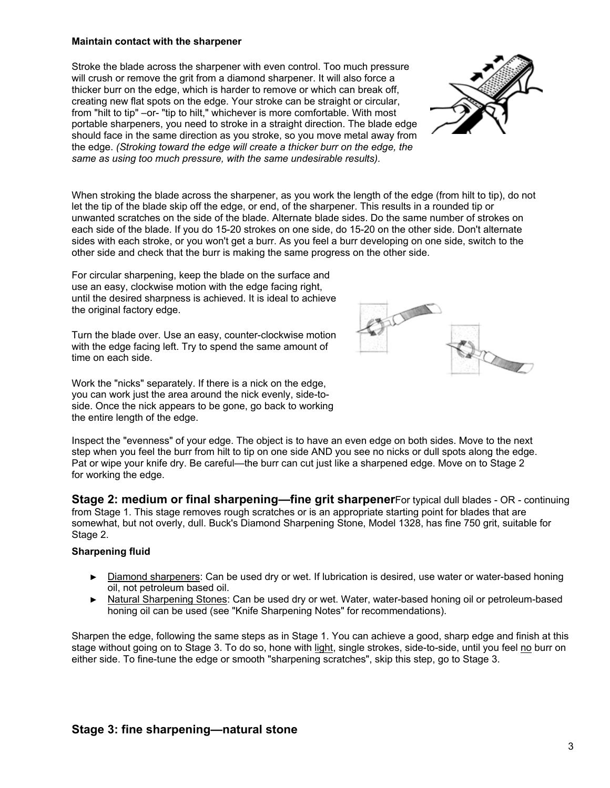#### **Maintain contact with the sharpener**

Stroke the blade across the sharpener with even control. Too much pressure will crush or remove the grit from a diamond sharpener. It will also force a thicker burr on the edge, which is harder to remove or which can break off, creating new flat spots on the edge. Your stroke can be straight or circular, from "hilt to tip" –or- "tip to hilt," whichever is more comfortable. With most portable sharpeners, you need to stroke in a straight direction. The blade edge should face in the same direction as you stroke, so you move metal away from the edge. *(Stroking toward the edge will create a thicker burr on the edge, the same as using too much pressure, with the same undesirable results).* 

When stroking the blade across the sharpener, as you work the length of the edge (from hilt to tip), do not let the tip of the blade skip off the edge, or end, of the sharpener. This results in a rounded tip or unwanted scratches on the side of the blade. Alternate blade sides. Do the same number of strokes on each side of the blade. If you do 15-20 strokes on one side, do 15-20 on the other side. Don't alternate sides with each stroke, or you won't get a burr. As you feel a burr developing on one side, switch to the other side and check that the burr is making the same progress on the other side.

For circular sharpening, keep the blade on the surface and use an easy, clockwise motion with the edge facing right, until the desired sharpness is achieved. It is ideal to achieve the original factory edge.

Turn the blade over. Use an easy, counter-clockwise motion with the edge facing left. Try to spend the same amount of time on each side.

Work the "nicks" separately. If there is a nick on the edge, you can work just the area around the nick evenly, side-toside. Once the nick appears to be gone, go back to working the entire length of the edge.

Inspect the "evenness" of your edge. The object is to have an even edge on both sides. Move to the next step when you feel the burr from hilt to tip on one side AND you see no nicks or dull spots along the edge. Pat or wipe your knife dry. Be careful—the burr can cut just like a sharpened edge. Move on to Stage 2 for working the edge.

**Stage 2: medium or final sharpening—fine grit sharpener**For typical dull blades - OR - continuing from Stage 1. This stage removes rough scratches or is an appropriate starting point for blades that are somewhat, but not overly, dull. Buck's Diamond Sharpening Stone, Model 1328, has fine 750 grit, suitable for Stage 2.

#### **Sharpening fluid**

- ► Diamond sharpeners: Can be used dry or wet. If lubrication is desired, use water or water-based honing oil, not petroleum based oil.
- ► Natural Sharpening Stones: Can be used dry or wet. Water, water-based honing oil or petroleum-based honing oil can be used (see "Knife Sharpening Notes" for recommendations).

Sharpen the edge, following the same steps as in Stage 1. You can achieve a good, sharp edge and finish at this stage without going on to Stage 3. To do so, hone with light, single strokes, side-to-side, until you feel no burr on either side. To fine-tune the edge or smooth "sharpening scratches", skip this step, go to Stage 3.